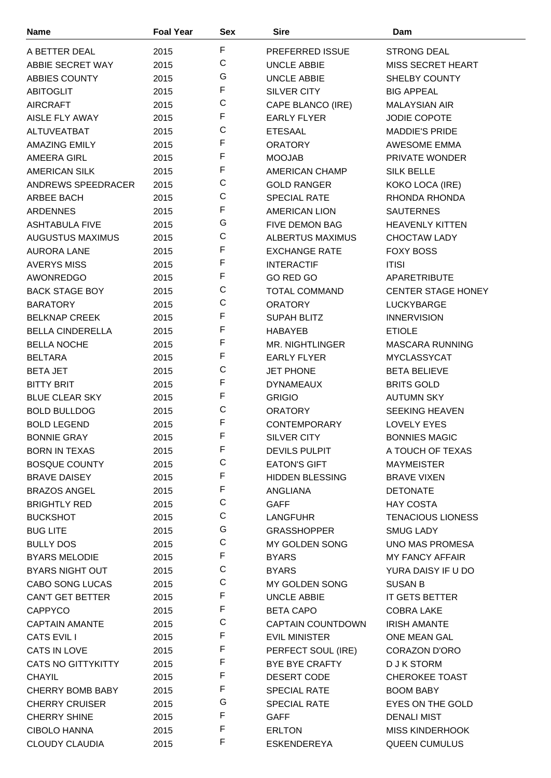| <b>Name</b>               | <b>Foal Year</b> | <b>Sex</b>  | <b>Sire</b>              | Dam                       |
|---------------------------|------------------|-------------|--------------------------|---------------------------|
| A BETTER DEAL             | 2015             | F           | <b>PREFERRED ISSUE</b>   | <b>STRONG DEAL</b>        |
| ABBIE SECRET WAY          | 2015             | $\mathsf C$ | <b>UNCLE ABBIE</b>       | MISS SECRET HEART         |
| <b>ABBIES COUNTY</b>      | 2015             | G           | <b>UNCLE ABBIE</b>       | <b>SHELBY COUNTY</b>      |
| <b>ABITOGLIT</b>          | 2015             | F           | <b>SILVER CITY</b>       | <b>BIG APPEAL</b>         |
| <b>AIRCRAFT</b>           | 2015             | C           | CAPE BLANCO (IRE)        | <b>MALAYSIAN AIR</b>      |
| AISLE FLY AWAY            | 2015             | F           | <b>EARLY FLYER</b>       | JODIE COPOTE              |
| ALTUVEATBAT               | 2015             | $\mathsf C$ | <b>ETESAAL</b>           | <b>MADDIE'S PRIDE</b>     |
| <b>AMAZING EMILY</b>      | 2015             | F           | <b>ORATORY</b>           | AWESOME EMMA              |
| <b>AMEERA GIRL</b>        | 2015             | F           | <b>MOOJAB</b>            | PRIVATE WONDER            |
| <b>AMERICAN SILK</b>      | 2015             | F           | <b>AMERICAN CHAMP</b>    | <b>SILK BELLE</b>         |
| ANDREWS SPEEDRACER        | 2015             | C           | <b>GOLD RANGER</b>       | KOKO LOCA (IRE)           |
| ARBEE BACH                | 2015             | C           | <b>SPECIAL RATE</b>      | RHONDA RHONDA             |
| <b>ARDENNES</b>           | 2015             | F           | <b>AMERICAN LION</b>     | <b>SAUTERNES</b>          |
| <b>ASHTABULA FIVE</b>     | 2015             | G           | <b>FIVE DEMON BAG</b>    | <b>HEAVENLY KITTEN</b>    |
| <b>AUGUSTUS MAXIMUS</b>   | 2015             | C           | <b>ALBERTUS MAXIMUS</b>  | <b>CHOCTAW LADY</b>       |
| <b>AURORA LANE</b>        | 2015             | F           | <b>EXCHANGE RATE</b>     | <b>FOXY BOSS</b>          |
| <b>AVERYS MISS</b>        | 2015             | F           | <b>INTERACTIF</b>        | <b>ITISI</b>              |
| <b>AWONREDGO</b>          | 2015             | F           | GO RED GO                | <b>APARETRIBUTE</b>       |
| <b>BACK STAGE BOY</b>     | 2015             | C           | <b>TOTAL COMMAND</b>     | <b>CENTER STAGE HONEY</b> |
| <b>BARATORY</b>           | 2015             | C           | <b>ORATORY</b>           | LUCKYBARGE                |
| <b>BELKNAP CREEK</b>      | 2015             | F           | <b>SUPAH BLITZ</b>       | <b>INNERVISION</b>        |
| <b>BELLA CINDERELLA</b>   |                  | F           |                          |                           |
|                           | 2015             | F           | <b>HABAYEB</b>           | <b>ETIOLE</b>             |
| <b>BELLA NOCHE</b>        | 2015             | F           | <b>MR. NIGHTLINGER</b>   | <b>MASCARA RUNNING</b>    |
| <b>BELTARA</b>            | 2015             | C           | <b>EARLY FLYER</b>       | <b>MYCLASSYCAT</b>        |
| <b>BETA JET</b>           | 2015             | F           | <b>JET PHONE</b>         | <b>BETA BELIEVE</b>       |
| <b>BITTY BRIT</b>         | 2015             | F           | <b>DYNAMEAUX</b>         | <b>BRITS GOLD</b>         |
| <b>BLUE CLEAR SKY</b>     | 2015             | C           | <b>GRIGIO</b>            | <b>AUTUMN SKY</b>         |
| <b>BOLD BULLDOG</b>       | 2015             | F           | <b>ORATORY</b>           | <b>SEEKING HEAVEN</b>     |
| <b>BOLD LEGEND</b>        | 2015             | F           | <b>CONTEMPORARY</b>      | <b>LOVELY EYES</b>        |
| <b>BONNIE GRAY</b>        | 2015             | F.          | <b>SILVER CITY</b>       | <b>BONNIES MAGIC</b>      |
| <b>BORN IN TEXAS</b>      | 2015             | C           | <b>DEVILS PULPIT</b>     | A TOUCH OF TEXAS          |
| <b>BOSQUE COUNTY</b>      | 2015             | F           | <b>EATON'S GIFT</b>      | <b>MAYMEISTER</b>         |
| <b>BRAVE DAISEY</b>       | 2015             | F           | <b>HIDDEN BLESSING</b>   | <b>BRAVE VIXEN</b>        |
| <b>BRAZOS ANGEL</b>       | 2015             | C           | ANGLIANA                 | <b>DETONATE</b>           |
| <b>BRIGHTLY RED</b>       | 2015             | $\mathsf C$ | <b>GAFF</b>              | <b>HAY COSTA</b>          |
| <b>BUCKSHOT</b>           | 2015             | G           | LANGFUHR                 | <b>TENACIOUS LIONESS</b>  |
| <b>BUG LITE</b>           | 2015             | $\mathsf C$ | <b>GRASSHOPPER</b>       | <b>SMUG LADY</b>          |
| <b>BULLY DOS</b>          | 2015             | F           | MY GOLDEN SONG           | <b>UNO MAS PROMESA</b>    |
| <b>BYARS MELODIE</b>      | 2015             | C           | <b>BYARS</b>             | <b>MY FANCY AFFAIR</b>    |
| <b>BYARS NIGHT OUT</b>    | 2015             | С           | <b>BYARS</b>             | YURA DAISY IF U DO        |
| CABO SONG LUCAS           | 2015             | F           | MY GOLDEN SONG           | SUSAN B                   |
| CAN'T GET BETTER          | 2015             | F           | UNCLE ABBIE              | IT GETS BETTER            |
| <b>CAPPYCO</b>            | 2015             | C           | <b>BETA CAPO</b>         | <b>COBRA LAKE</b>         |
| <b>CAPTAIN AMANTE</b>     | 2015             | F           | <b>CAPTAIN COUNTDOWN</b> | <b>IRISH AMANTE</b>       |
| <b>CATS EVIL I</b>        | 2015             | F           | <b>EVIL MINISTER</b>     | ONE MEAN GAL              |
| CATS IN LOVE              | 2015             | F           | PERFECT SOUL (IRE)       | <b>CORAZON D'ORO</b>      |
| <b>CATS NO GITTYKITTY</b> | 2015             | F           | <b>BYE BYE CRAFTY</b>    | D J K STORM               |
| <b>CHAYIL</b>             | 2015             | F           | DESERT CODE              | <b>CHEROKEE TOAST</b>     |
| <b>CHERRY BOMB BABY</b>   | 2015             |             | <b>SPECIAL RATE</b>      | <b>BOOM BABY</b>          |
| <b>CHERRY CRUISER</b>     | 2015             | G<br>F      | <b>SPECIAL RATE</b>      | EYES ON THE GOLD          |
| <b>CHERRY SHINE</b>       | 2015             |             | <b>GAFF</b>              | <b>DENALI MIST</b>        |
| <b>CIBOLO HANNA</b>       | 2015             | F<br>F      | <b>ERLTON</b>            | <b>MISS KINDERHOOK</b>    |
| <b>CLOUDY CLAUDIA</b>     | 2015             |             | <b>ESKENDEREYA</b>       | QUEEN CUMULUS             |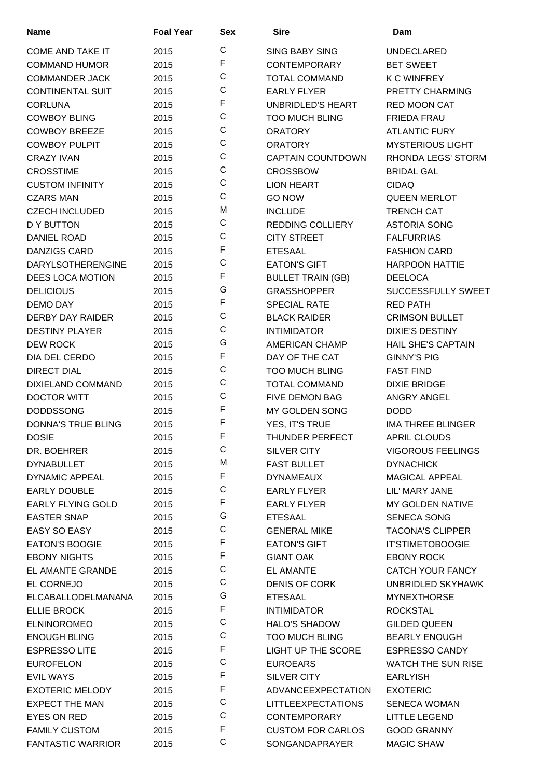| <b>Name</b>               | <b>Foal Year</b> | Sex          | <b>Sire</b>               | Dam                       |
|---------------------------|------------------|--------------|---------------------------|---------------------------|
| <b>COME AND TAKE IT</b>   | 2015             | C            | <b>SING BABY SING</b>     | <b>UNDECLARED</b>         |
| <b>COMMAND HUMOR</b>      | 2015             | F            | <b>CONTEMPORARY</b>       | <b>BET SWEET</b>          |
| <b>COMMANDER JACK</b>     | 2015             | C            | <b>TOTAL COMMAND</b>      | <b>K C WINFREY</b>        |
| <b>CONTINENTAL SUIT</b>   | 2015             | C            | <b>EARLY FLYER</b>        | PRETTY CHARMING           |
| <b>CORLUNA</b>            | 2015             | F            | UNBRIDLED'S HEART         | RED MOON CAT              |
| <b>COWBOY BLING</b>       | 2015             | $\mathsf{C}$ | <b>TOO MUCH BLING</b>     | <b>FRIEDA FRAU</b>        |
| <b>COWBOY BREEZE</b>      | 2015             | C            | <b>ORATORY</b>            | <b>ATLANTIC FURY</b>      |
| <b>COWBOY PULPIT</b>      | 2015             | C            | <b>ORATORY</b>            | <b>MYSTERIOUS LIGHT</b>   |
| <b>CRAZY IVAN</b>         | 2015             | C            | <b>CAPTAIN COUNTDOWN</b>  | RHONDA LEGS' STORM        |
| <b>CROSSTIME</b>          | 2015             | $\mathsf C$  | <b>CROSSBOW</b>           | <b>BRIDAL GAL</b>         |
| <b>CUSTOM INFINITY</b>    | 2015             | C            | <b>LION HEART</b>         | <b>CIDAQ</b>              |
| <b>CZARS MAN</b>          | 2015             | C            | <b>GO NOW</b>             | <b>QUEEN MERLOT</b>       |
| <b>CZECH INCLUDED</b>     | 2015             | M            | <b>INCLUDE</b>            | <b>TRENCH CAT</b>         |
| D Y BUTTON                |                  | C            | <b>REDDING COLLIERY</b>   | <b>ASTORIA SONG</b>       |
|                           | 2015             | C            |                           |                           |
| DANIEL ROAD               | 2015             | F            | <b>CITY STREET</b>        | <b>FALFURRIAS</b>         |
| <b>DANZIGS CARD</b>       | 2015             | C            | <b>ETESAAL</b>            | <b>FASHION CARD</b>       |
| <b>DARYLSOTHERENGINE</b>  | 2015             | F            | <b>EATON'S GIFT</b>       | <b>HARPOON HATTIE</b>     |
| <b>DEES LOCA MOTION</b>   | 2015             | G            | <b>BULLET TRAIN (GB)</b>  | <b>DEELOCA</b>            |
| <b>DELICIOUS</b>          | 2015             | F            | <b>GRASSHOPPER</b>        | SUCCESSFULLY SWEET        |
| DEMO DAY                  | 2015             | C            | <b>SPECIAL RATE</b>       | RED PATH                  |
| DERBY DAY RAIDER          | 2015             |              | <b>BLACK RAIDER</b>       | <b>CRIMSON BULLET</b>     |
| <b>DESTINY PLAYER</b>     | 2015             | C            | <b>INTIMIDATOR</b>        | <b>DIXIE'S DESTINY</b>    |
| DEW ROCK                  | 2015             | G            | AMERICAN CHAMP            | <b>HAIL SHE'S CAPTAIN</b> |
| DIA DEL CERDO             | 2015             | F            | DAY OF THE CAT            | <b>GINNY'S PIG</b>        |
| <b>DIRECT DIAL</b>        | 2015             | C            | <b>TOO MUCH BLING</b>     | <b>FAST FIND</b>          |
| DIXIELAND COMMAND         | 2015             | C            | <b>TOTAL COMMAND</b>      | <b>DIXIE BRIDGE</b>       |
| <b>DOCTOR WITT</b>        | 2015             | C            | <b>FIVE DEMON BAG</b>     | ANGRY ANGEL               |
| <b>DODDSSONG</b>          | 2015             | F            | MY GOLDEN SONG            | <b>DODD</b>               |
| <b>DONNA'S TRUE BLING</b> | 2015             | F            | YES, IT'S TRUE            | <b>IMA THREE BLINGER</b>  |
| <b>DOSIE</b>              | 2015             | F            | THUNDER PERFECT           | APRIL CLOUDS              |
| DR. BOEHRER               | 2015             | C            | <b>SILVER CITY</b>        | <b>VIGOROUS FEELINGS</b>  |
| <b>DYNABULLET</b>         | 2015             | M            | <b>FAST BULLET</b>        | <b>DYNACHICK</b>          |
| <b>DYNAMIC APPEAL</b>     | 2015             | F            | <b>DYNAMEAUX</b>          | <b>MAGICAL APPEAL</b>     |
| <b>EARLY DOUBLE</b>       | 2015             | $\mathsf C$  | <b>EARLY FLYER</b>        | LIL' MARY JANE            |
| <b>EARLY FLYING GOLD</b>  | 2015             | F            | <b>EARLY FLYER</b>        | MY GOLDEN NATIVE          |
| <b>EASTER SNAP</b>        | 2015             | G            | <b>ETESAAL</b>            | <b>SENECA SONG</b>        |
| <b>EASY SO EASY</b>       | 2015             | С            | <b>GENERAL MIKE</b>       | <b>TACONA'S CLIPPER</b>   |
| <b>EATON'S BOOGIE</b>     | 2015             | F            | <b>EATON'S GIFT</b>       | <b>IT'STIMETOBOOGIE</b>   |
| <b>EBONY NIGHTS</b>       | 2015             | F            | <b>GIANT OAK</b>          | <b>EBONY ROCK</b>         |
| EL AMANTE GRANDE          | 2015             | C            | <b>EL AMANTE</b>          | CATCH YOUR FANCY          |
| EL CORNEJO                | 2015             | C            | <b>DENIS OF CORK</b>      | UNBRIDLED SKYHAWK         |
| ELCABALLODELMANANA        | 2015             | G            | <b>ETESAAL</b>            | <b>MYNEXTHORSE</b>        |
| <b>ELLIE BROCK</b>        | 2015             | F            | <b>INTIMIDATOR</b>        | <b>ROCKSTAL</b>           |
| <b>ELNINOROMEO</b>        | 2015             | $\mathsf C$  | <b>HALO'S SHADOW</b>      | <b>GILDED QUEEN</b>       |
| <b>ENOUGH BLING</b>       | 2015             | C            | <b>TOO MUCH BLING</b>     | <b>BEARLY ENOUGH</b>      |
| <b>ESPRESSO LITE</b>      | 2015             | F            | LIGHT UP THE SCORE        | <b>ESPRESSO CANDY</b>     |
| <b>EUROFELON</b>          | 2015             | C            | <b>EUROEARS</b>           | <b>WATCH THE SUN RISE</b> |
| <b>EVIL WAYS</b>          | 2015             | F            | <b>SILVER CITY</b>        | <b>EARLYISH</b>           |
| <b>EXOTERIC MELODY</b>    | 2015             | F            | ADVANCEEXPECTATION        | <b>EXOTERIC</b>           |
| <b>EXPECT THE MAN</b>     | 2015             | C            | <b>LITTLEEXPECTATIONS</b> | <b>SENECA WOMAN</b>       |
| EYES ON RED               | 2015             | C            | <b>CONTEMPORARY</b>       | <b>LITTLE LEGEND</b>      |
| <b>FAMILY CUSTOM</b>      | 2015             | F            | <b>CUSTOM FOR CARLOS</b>  | <b>GOOD GRANNY</b>        |
| <b>FANTASTIC WARRIOR</b>  | 2015             | С            | SONGANDAPRAYER            | <b>MAGIC SHAW</b>         |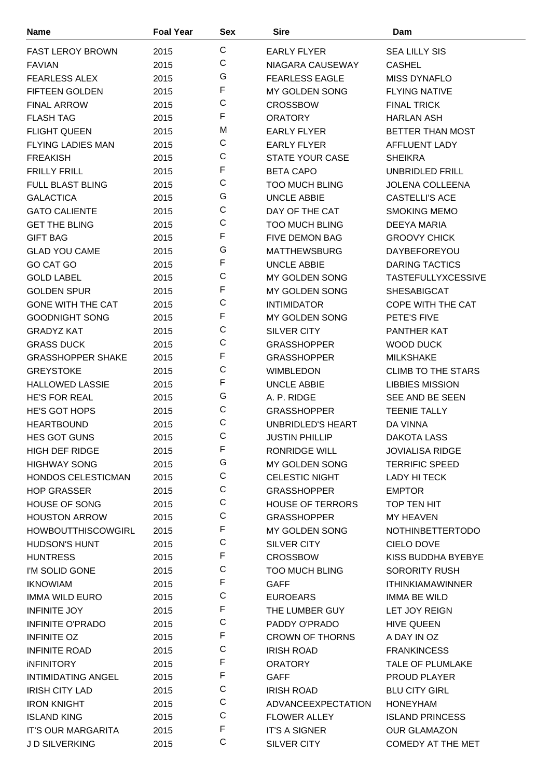| <b>Name</b>               | <b>Foal Year</b> | Sex         | <b>Sire</b>               | Dam                       |
|---------------------------|------------------|-------------|---------------------------|---------------------------|
| <b>FAST LEROY BROWN</b>   | 2015             | C           | <b>EARLY FLYER</b>        | <b>SEA LILLY SIS</b>      |
| <b>FAVIAN</b>             | 2015             | C           | NIAGARA CAUSEWAY          | <b>CASHEL</b>             |
| <b>FEARLESS ALEX</b>      | 2015             | G           | <b>FEARLESS EAGLE</b>     | <b>MISS DYNAFLO</b>       |
| <b>FIFTEEN GOLDEN</b>     | 2015             | F           | <b>MY GOLDEN SONG</b>     | <b>FLYING NATIVE</b>      |
| <b>FINAL ARROW</b>        | 2015             | C           | <b>CROSSBOW</b>           | <b>FINAL TRICK</b>        |
| <b>FLASH TAG</b>          | 2015             | F           | <b>ORATORY</b>            | <b>HARLAN ASH</b>         |
| <b>FLIGHT QUEEN</b>       | 2015             | M           | <b>EARLY FLYER</b>        | BETTER THAN MOST          |
| <b>FLYING LADIES MAN</b>  | 2015             | C           | <b>EARLY FLYER</b>        | AFFLUENT LADY             |
| <b>FREAKISH</b>           | 2015             | C           | <b>STATE YOUR CASE</b>    | <b>SHEIKRA</b>            |
| <b>FRILLY FRILL</b>       | 2015             | F           | <b>BETA CAPO</b>          | UNBRIDLED FRILL           |
| <b>FULL BLAST BLING</b>   | 2015             | C           | <b>TOO MUCH BLING</b>     | <b>JOLENA COLLEENA</b>    |
| <b>GALACTICA</b>          | 2015             | G           | <b>UNCLE ABBIE</b>        | <b>CASTELLI'S ACE</b>     |
| <b>GATO CALIENTE</b>      | 2015             | C           | DAY OF THE CAT            | <b>SMOKING MEMO</b>       |
| <b>GET THE BLING</b>      | 2015             | $\mathsf C$ | <b>TOO MUCH BLING</b>     | DEEYA MARIA               |
| <b>GIFT BAG</b>           | 2015             | F           | <b>FIVE DEMON BAG</b>     | <b>GROOVY CHICK</b>       |
| <b>GLAD YOU CAME</b>      | 2015             | G           | <b>MATTHEWSBURG</b>       | <b>DAYBEFOREYOU</b>       |
| GO CAT GO                 | 2015             | F           | <b>UNCLE ABBIE</b>        | DARING TACTICS            |
| <b>GOLD LABEL</b>         | 2015             | C           | MY GOLDEN SONG            | <b>TASTEFULLYXCESSIVE</b> |
| <b>GOLDEN SPUR</b>        | 2015             | F           | MY GOLDEN SONG            | <b>SHESABIGCAT</b>        |
| <b>GONE WITH THE CAT</b>  | 2015             | $\mathsf C$ | <b>INTIMIDATOR</b>        | <b>COPE WITH THE CAT</b>  |
| <b>GOODNIGHT SONG</b>     | 2015             | F           | MY GOLDEN SONG            | PETE'S FIVE               |
| <b>GRADYZ KAT</b>         | 2015             | C           | <b>SILVER CITY</b>        | <b>PANTHER KAT</b>        |
| <b>GRASS DUCK</b>         | 2015             | C           | <b>GRASSHOPPER</b>        | <b>WOOD DUCK</b>          |
| <b>GRASSHOPPER SHAKE</b>  | 2015             | F           | <b>GRASSHOPPER</b>        | <b>MILKSHAKE</b>          |
| <b>GREYSTOKE</b>          | 2015             | C           | <b>WIMBLEDON</b>          | <b>CLIMB TO THE STARS</b> |
| <b>HALLOWED LASSIE</b>    | 2015             | F           | <b>UNCLE ABBIE</b>        | <b>LIBBIES MISSION</b>    |
| <b>HE'S FOR REAL</b>      | 2015             | G           | A. P. RIDGE               | SEE AND BE SEEN           |
| <b>HE'S GOT HOPS</b>      | 2015             | C           | <b>GRASSHOPPER</b>        | <b>TEENIE TALLY</b>       |
| <b>HEARTBOUND</b>         | 2015             | $\mathsf C$ | <b>UNBRIDLED'S HEART</b>  | DA VINNA                  |
| HES GOT GUNS              | 2015             | C           | <b>JUSTIN PHILLIP</b>     | <b>DAKOTA LASS</b>        |
| <b>HIGH DEF RIDGE</b>     | 2015             | F           | <b>RONRIDGE WILL</b>      | <b>JOVIALISA RIDGE</b>    |
| <b>HIGHWAY SONG</b>       | 2015             | G           | <b>MY GOLDEN SONG</b>     | <b>TERRIFIC SPEED</b>     |
| HONDOS CELESTICMAN        | 2015             | С           | <b>CELESTIC NIGHT</b>     | LADY HI TECK              |
| <b>HOP GRASSER</b>        | 2015             | C           | <b>GRASSHOPPER</b>        | <b>EMPTOR</b>             |
| <b>HOUSE OF SONG</b>      | 2015             | $\mathsf C$ | <b>HOUSE OF TERRORS</b>   | TOP TEN HIT               |
| <b>HOUSTON ARROW</b>      | 2015             | C           | <b>GRASSHOPPER</b>        | MY HEAVEN                 |
| <b>HOWBOUTTHISCOWGIRL</b> | 2015             | F           | <b>MY GOLDEN SONG</b>     | <b>NOTHINBETTERTODO</b>   |
| <b>HUDSON'S HUNT</b>      | 2015             | $\mathsf C$ | SILVER CITY               | CIELO DOVE                |
| <b>HUNTRESS</b>           | 2015             | F           | <b>CROSSBOW</b>           | KISS BUDDHA BYEBYE        |
| I'M SOLID GONE            | 2015             | C           | <b>TOO MUCH BLING</b>     | <b>SORORITY RUSH</b>      |
| <b>IKNOWIAM</b>           | 2015             | F           | <b>GAFF</b>               | <b>ITHINKIAMAWINNER</b>   |
| <b>IMMA WILD EURO</b>     | 2015             | C           | <b>EUROEARS</b>           | <b>IMMA BE WILD</b>       |
| <b>INFINITE JOY</b>       | 2015             | F           | THE LUMBER GUY            | LET JOY REIGN             |
| <b>INFINITE O'PRADO</b>   | 2015             | $\mathsf C$ | PADDY O'PRADO             | <b>HIVE QUEEN</b>         |
| <b>INFINITE OZ</b>        | 2015             | F           | <b>CROWN OF THORNS</b>    | A DAY IN OZ               |
| <b>INFINITE ROAD</b>      | 2015             | C           | <b>IRISH ROAD</b>         | <b>FRANKINCESS</b>        |
| <b>INFINITORY</b>         | 2015             | F           | <b>ORATORY</b>            | <b>TALE OF PLUMLAKE</b>   |
| <b>INTIMIDATING ANGEL</b> | 2015             | F           | <b>GAFF</b>               | <b>PROUD PLAYER</b>       |
| <b>IRISH CITY LAD</b>     | 2015             | $\mathsf C$ | <b>IRISH ROAD</b>         | <b>BLU CITY GIRL</b>      |
| <b>IRON KNIGHT</b>        | 2015             | $\mathsf C$ | <b>ADVANCEEXPECTATION</b> | <b>HONEYHAM</b>           |
| <b>ISLAND KING</b>        | 2015             | C           | <b>FLOWER ALLEY</b>       | <b>ISLAND PRINCESS</b>    |
| <b>IT'S OUR MARGARITA</b> | 2015             | F           | <b>IT'S A SIGNER</b>      | <b>OUR GLAMAZON</b>       |
| JD SILVERKING             | 2015             | C           | SILVER CITY               | COMEDY AT THE MET         |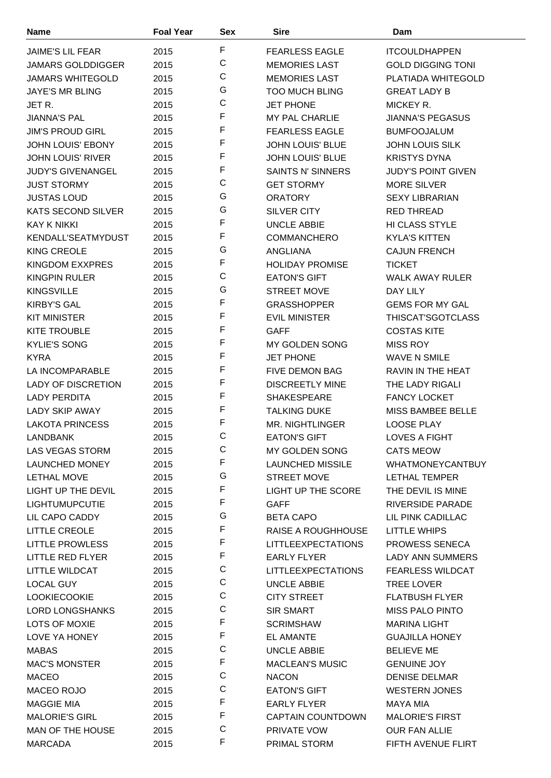| <b>Name</b>                                  | <b>Foal Year</b> | Sex         | <b>Sire</b>                                     | Dam                                         |
|----------------------------------------------|------------------|-------------|-------------------------------------------------|---------------------------------------------|
| <b>JAIME'S LIL FEAR</b>                      | 2015             | F           | <b>FEARLESS EAGLE</b>                           | <b>ITCOULDHAPPEN</b>                        |
| <b>JAMARS GOLDDIGGER</b>                     | 2015             | C           | <b>MEMORIES LAST</b>                            | <b>GOLD DIGGING TONI</b>                    |
| <b>JAMARS WHITEGOLD</b>                      | 2015             | $\mathsf C$ | <b>MEMORIES LAST</b>                            | PLATIADA WHITEGOLD                          |
| <b>JAYE'S MR BLING</b>                       | 2015             | G           | <b>TOO MUCH BLING</b>                           | <b>GREAT LADY B</b>                         |
| JET R.                                       | 2015             | C           | <b>JET PHONE</b>                                | MICKEY R.                                   |
| <b>JIANNA'S PAL</b>                          | 2015             | F           | MY PAL CHARLIE                                  | <b>JIANNA'S PEGASUS</b>                     |
| <b>JIM'S PROUD GIRL</b>                      | 2015             | F           | <b>FEARLESS EAGLE</b>                           | <b>BUMFOOJALUM</b>                          |
| <b>JOHN LOUIS' EBONY</b>                     | 2015             | F           | <b>JOHN LOUIS' BLUE</b>                         | <b>JOHN LOUIS SILK</b>                      |
| <b>JOHN LOUIS' RIVER</b>                     | 2015             | F           | <b>JOHN LOUIS' BLUE</b>                         | <b>KRISTYS DYNA</b>                         |
| <b>JUDY'S GIVENANGEL</b>                     | 2015             | F           | <b>SAINTS N' SINNERS</b>                        | <b>JUDY'S POINT GIVEN</b>                   |
| <b>JUST STORMY</b>                           | 2015             | C           | <b>GET STORMY</b>                               | <b>MORE SILVER</b>                          |
| <b>JUSTAS LOUD</b>                           | 2015             | G           | <b>ORATORY</b>                                  | <b>SEXY LIBRARIAN</b>                       |
| <b>KATS SECOND SILVER</b>                    | 2015             | G           | <b>SILVER CITY</b>                              | <b>RED THREAD</b>                           |
| KAY K NIKKI                                  | 2015             | F           | <b>UNCLE ABBIE</b>                              | HI CLASS STYLE                              |
| <b>KENDALL'SEATMYDUST</b>                    | 2015             | F           | <b>COMMANCHERO</b>                              | <b>KYLA'S KITTEN</b>                        |
| <b>KING CREOLE</b>                           | 2015             | G           | <b>ANGLIANA</b>                                 | <b>CAJUN FRENCH</b>                         |
| <b>KINGDOM EXXPRES</b>                       | 2015             | F           | <b>HOLIDAY PROMISE</b>                          | <b>TICKET</b>                               |
| <b>KINGPIN RULER</b>                         | 2015             | C           | <b>EATON'S GIFT</b>                             | <b>WALK AWAY RULER</b>                      |
| <b>KINGSVILLE</b>                            | 2015             | G           | <b>STREET MOVE</b>                              | DAY LILY                                    |
| <b>KIRBY'S GAL</b>                           | 2015             | F           | <b>GRASSHOPPER</b>                              | <b>GEMS FOR MY GAL</b>                      |
| <b>KIT MINISTER</b>                          | 2015             | F           | <b>EVIL MINISTER</b>                            | THISCAT'SGOTCLASS                           |
| <b>KITE TROUBLE</b>                          |                  | F           | <b>GAFF</b>                                     | <b>COSTAS KITE</b>                          |
| <b>KYLIE'S SONG</b>                          | 2015             | F           |                                                 | <b>MISS ROY</b>                             |
|                                              | 2015             | F           | MY GOLDEN SONG                                  |                                             |
| <b>KYRA</b>                                  | 2015             | F           | <b>JET PHONE</b>                                | <b>WAVE N SMILE</b>                         |
| LA INCOMPARABLE<br><b>LADY OF DISCRETION</b> | 2015             | F           | <b>FIVE DEMON BAG</b><br><b>DISCREETLY MINE</b> | <b>RAVIN IN THE HEAT</b><br>THE LADY RIGALI |
|                                              | 2015             | F           |                                                 |                                             |
| <b>LADY PERDITA</b>                          | 2015             | F           | <b>SHAKESPEARE</b>                              | <b>FANCY LOCKET</b>                         |
| <b>LADY SKIP AWAY</b>                        | 2015             | F           | <b>TALKING DUKE</b>                             | <b>MISS BAMBEE BELLE</b>                    |
| <b>LAKOTA PRINCESS</b>                       | 2015             | C           | MR. NIGHTLINGER                                 | <b>LOOSE PLAY</b>                           |
| <b>LANDBANK</b>                              | 2015             | C           | <b>EATON'S GIFT</b>                             | <b>LOVES A FIGHT</b>                        |
| <b>LAS VEGAS STORM</b>                       | 2015             | F           | MY GOLDEN SONG                                  | <b>CATS MEOW</b>                            |
| <b>LAUNCHED MONEY</b>                        | 2015             | G           | LAUNCHED MISSILE                                | <b>WHATMONEYCANTBUY</b>                     |
| <b>LETHAL MOVE</b>                           | 2015             | F           | <b>STREET MOVE</b>                              | LETHAL TEMPER                               |
| <b>LIGHT UP THE DEVIL</b>                    | 2015             | F           | <b>LIGHT UP THE SCORE</b>                       | THE DEVIL IS MINE                           |
| <b>LIGHTUMUPCUTIE</b>                        | 2015             | G           | <b>GAFF</b>                                     | <b>RIVERSIDE PARADE</b>                     |
| LIL CAPO CADDY                               | 2015             | F           | <b>BETA CAPO</b>                                | LIL PINK CADILLAC                           |
| LITTLE CREOLE                                | 2015             | F           | RAISE A ROUGHHOUSE                              | <b>LITTLE WHIPS</b>                         |
| <b>LITTLE PROWLESS</b>                       | 2015             | F           | <b>LITTLEEXPECTATIONS</b>                       | PROWESS SENECA                              |
| <b>LITTLE RED FLYER</b>                      | 2015             | C           | <b>EARLY FLYER</b>                              | <b>LADY ANN SUMMERS</b>                     |
| LITTLE WILDCAT                               | 2015             | C           | <b>LITTLEEXPECTATIONS</b>                       | <b>FEARLESS WILDCAT</b>                     |
| LOCAL GUY                                    | 2015             | C           | UNCLE ABBIE                                     | TREE LOVER                                  |
| <b>LOOKIECOOKIE</b>                          | 2015             | C           | <b>CITY STREET</b>                              | <b>FLATBUSH FLYER</b>                       |
| <b>LORD LONGSHANKS</b>                       | 2015             | F           | <b>SIR SMART</b>                                | <b>MISS PALO PINTO</b>                      |
| LOTS OF MOXIE                                | 2015             | F           | <b>SCRIMSHAW</b>                                | <b>MARINA LIGHT</b>                         |
| LOVE YA HONEY                                | 2015             | C           | <b>EL AMANTE</b>                                | <b>GUAJILLA HONEY</b>                       |
| <b>MABAS</b>                                 | 2015             | F           | UNCLE ABBIE                                     | <b>BELIEVE ME</b>                           |
| <b>MAC'S MONSTER</b>                         | 2015             |             | <b>MACLEAN'S MUSIC</b>                          | <b>GENUINE JOY</b>                          |
| <b>MACEO</b>                                 | 2015             | C<br>C      | <b>NACON</b>                                    | <b>DENISE DELMAR</b>                        |
| MACEO ROJO                                   | 2015             | F           | <b>EATON'S GIFT</b>                             | <b>WESTERN JONES</b>                        |
| <b>MAGGIE MIA</b>                            | 2015             | F           | EARLY FLYER                                     | MAYA MIA                                    |
| <b>MALORIE'S GIRL</b>                        | 2015             | C           | <b>CAPTAIN COUNTDOWN</b>                        | <b>MALORIE'S FIRST</b>                      |
| MAN OF THE HOUSE                             | 2015             | F           | PRIVATE VOW                                     | <b>OUR FAN ALLIE</b>                        |
| <b>MARCADA</b>                               | 2015             |             | PRIMAL STORM                                    | FIFTH AVENUE FLIRT                          |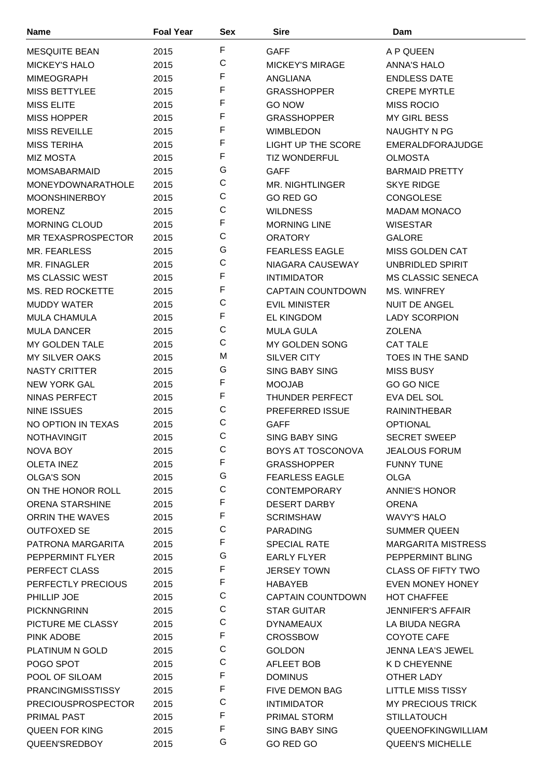| <b>Name</b>               | <b>Foal Year</b> | <b>Sex</b>  | <b>Sire</b>               | Dam                       |
|---------------------------|------------------|-------------|---------------------------|---------------------------|
| <b>MESQUITE BEAN</b>      | 2015             | F           | <b>GAFF</b>               | A P QUEEN                 |
| <b>MICKEY'S HALO</b>      | 2015             | $\mathsf C$ | <b>MICKEY'S MIRAGE</b>    | <b>ANNA'S HALO</b>        |
| <b>MIMEOGRAPH</b>         | 2015             | F           | <b>ANGLIANA</b>           | <b>ENDLESS DATE</b>       |
| <b>MISS BETTYLEE</b>      | 2015             | F           | <b>GRASSHOPPER</b>        | <b>CREPE MYRTLE</b>       |
| <b>MISS ELITE</b>         | 2015             | F           | <b>GO NOW</b>             | <b>MISS ROCIO</b>         |
| <b>MISS HOPPER</b>        | 2015             | F           | <b>GRASSHOPPER</b>        | <b>MY GIRL BESS</b>       |
| <b>MISS REVEILLE</b>      | 2015             | F           | <b>WIMBLEDON</b>          | NAUGHTY N PG              |
| <b>MISS TERIHA</b>        | 2015             | F           | <b>LIGHT UP THE SCORE</b> | EMERALDFORAJUDGE          |
| <b>MIZ MOSTA</b>          | 2015             | F           | <b>TIZ WONDERFUL</b>      | <b>OLMOSTA</b>            |
| <b>MOMSABARMAID</b>       | 2015             | G           | <b>GAFF</b>               | <b>BARMAID PRETTY</b>     |
| MONEYDOWNARATHOLE         | 2015             | $\mathsf C$ | <b>MR. NIGHTLINGER</b>    | <b>SKYE RIDGE</b>         |
| <b>MOONSHINERBOY</b>      | 2015             | $\mathsf C$ | GO RED GO                 | <b>CONGOLESE</b>          |
| <b>MORENZ</b>             | 2015             | $\mathsf C$ | <b>WILDNESS</b>           | <b>MADAM MONACO</b>       |
| <b>MORNING CLOUD</b>      | 2015             | F           | <b>MORNING LINE</b>       | <b>WISESTAR</b>           |
| MR TEXASPROSPECTOR        | 2015             | $\mathsf C$ | <b>ORATORY</b>            | <b>GALORE</b>             |
| MR. FEARLESS              | 2015             | G           | <b>FEARLESS EAGLE</b>     | <b>MISS GOLDEN CAT</b>    |
| MR. FINAGLER              |                  | $\mathsf C$ | NIAGARA CAUSEWAY          | UNBRIDLED SPIRIT          |
| <b>MS CLASSIC WEST</b>    | 2015<br>2015     | F           | <b>INTIMIDATOR</b>        | <b>MS CLASSIC SENECA</b>  |
|                           |                  | F           |                           |                           |
| <b>MS. RED ROCKETTE</b>   | 2015             | C           | <b>CAPTAIN COUNTDOWN</b>  | <b>MS. WINFREY</b>        |
| <b>MUDDY WATER</b>        | 2015             | F           | <b>EVIL MINISTER</b>      | <b>NUIT DE ANGEL</b>      |
| <b>MULA CHAMULA</b>       | 2015             | $\mathsf C$ | <b>EL KINGDOM</b>         | <b>LADY SCORPION</b>      |
| <b>MULA DANCER</b>        | 2015             | $\mathsf C$ | <b>MULA GULA</b>          | <b>ZOLENA</b>             |
| <b>MY GOLDEN TALE</b>     | 2015             | M           | <b>MY GOLDEN SONG</b>     | <b>CAT TALE</b>           |
| <b>MY SILVER OAKS</b>     | 2015             |             | <b>SILVER CITY</b>        | TOES IN THE SAND          |
| <b>NASTY CRITTER</b>      | 2015             | G<br>F      | <b>SING BABY SING</b>     | <b>MISS BUSY</b>          |
| <b>NEW YORK GAL</b>       | 2015             |             | <b>MOOJAB</b>             | GO GO NICE                |
| <b>NINAS PERFECT</b>      | 2015             | F           | <b>THUNDER PERFECT</b>    | EVA DEL SOL               |
| <b>NINE ISSUES</b>        | 2015             | $\mathsf C$ | PREFERRED ISSUE           | <b>RAININTHEBAR</b>       |
| NO OPTION IN TEXAS        | 2015             | C           | <b>GAFF</b>               | <b>OPTIONAL</b>           |
| <b>NOTHAVINGIT</b>        | 2015             | $\mathsf C$ | <b>SING BABY SING</b>     | <b>SECRET SWEEP</b>       |
| NOVA BOY                  | 2015             | С           | BOYS AT TOSCONOVA         | <b>JEALOUS FORUM</b>      |
| <b>OLETA INEZ</b>         | 2015             | F           | <b>GRASSHOPPER</b>        | <b>FUNNY TUNE</b>         |
| <b>OLGA'S SON</b>         | 2015             | G           | <b>FEARLESS EAGLE</b>     | <b>OLGA</b>               |
| ON THE HONOR ROLL         | 2015             | $\mathsf C$ | <b>CONTEMPORARY</b>       | <b>ANNIE'S HONOR</b>      |
| <b>ORENA STARSHINE</b>    | 2015             | F           | <b>DESERT DARBY</b>       | <b>ORENA</b>              |
| <b>ORRIN THE WAVES</b>    | 2015             | F           | <b>SCRIMSHAW</b>          | WAVY'S HALO               |
| <b>OUTFOXED SE</b>        | 2015             | C           | <b>PARADING</b>           | <b>SUMMER QUEEN</b>       |
| PATRONA MARGARITA         | 2015             | F           | <b>SPECIAL RATE</b>       | <b>MARGARITA MISTRESS</b> |
| PEPPERMINT FLYER          | 2015             | G           | <b>EARLY FLYER</b>        | PEPPERMINT BLING          |
| PERFECT CLASS             | 2015             | F           | <b>JERSEY TOWN</b>        | <b>CLASS OF FIFTY TWO</b> |
| PERFECTLY PRECIOUS        | 2015             | F           | HABAYEB                   | EVEN MONEY HONEY          |
| PHILLIP JOE               | 2015             | C           | <b>CAPTAIN COUNTDOWN</b>  | <b>HOT CHAFFEE</b>        |
| <b>PICKNNGRINN</b>        | 2015             | $\mathsf C$ | <b>STAR GUITAR</b>        | <b>JENNIFER'S AFFAIR</b>  |
| PICTURE ME CLASSY         | 2015             | $\mathsf C$ | <b>DYNAMEAUX</b>          | LA BIUDA NEGRA            |
| PINK ADOBE                | 2015             | F           | <b>CROSSBOW</b>           | COYOTE CAFE               |
| <b>PLATINUM N GOLD</b>    | 2015             | $\mathsf C$ | <b>GOLDON</b>             | <b>JENNA LEA'S JEWEL</b>  |
| POGO SPOT                 | 2015             | C           | AFLEET BOB                | K D CHEYENNE              |
| POOL OF SILOAM            | 2015             | F           | <b>DOMINUS</b>            | OTHER LADY                |
| <b>PRANCINGMISSTISSY</b>  | 2015             | F           | <b>FIVE DEMON BAG</b>     | <b>LITTLE MISS TISSY</b>  |
| <b>PRECIOUSPROSPECTOR</b> | 2015             | C           | <b>INTIMIDATOR</b>        | <b>MY PRECIOUS TRICK</b>  |
| <b>PRIMAL PAST</b>        | 2015             | F           | PRIMAL STORM              | <b>STILLATOUCH</b>        |
| <b>QUEEN FOR KING</b>     | 2015             | F           | <b>SING BABY SING</b>     | QUEENOFKINGWILLIAM        |
| QUEEN'SREDBOY             | 2015             | G           | GO RED GO                 | <b>QUEEN'S MICHELLE</b>   |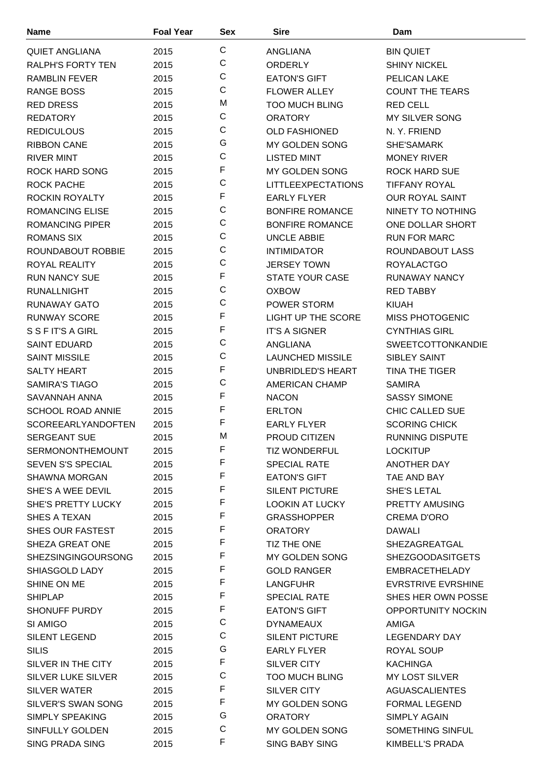| <b>Name</b>                            | <b>Foal Year</b> | <b>Sex</b>   | <b>Sire</b>               | Dam                       |
|----------------------------------------|------------------|--------------|---------------------------|---------------------------|
| <b>QUIET ANGLIANA</b>                  | 2015             | $\mathsf{C}$ | ANGLIANA                  | <b>BIN QUIET</b>          |
| <b>RALPH'S FORTY TEN</b>               | 2015             | $\mathbf C$  | <b>ORDERLY</b>            | <b>SHINY NICKEL</b>       |
| <b>RAMBLIN FEVER</b>                   | 2015             | $\mathsf C$  | <b>EATON'S GIFT</b>       | <b>PELICAN LAKE</b>       |
| <b>RANGE BOSS</b>                      | 2015             | $\mathsf{C}$ | <b>FLOWER ALLEY</b>       | <b>COUNT THE TEARS</b>    |
| <b>RED DRESS</b>                       | 2015             | M            | <b>TOO MUCH BLING</b>     | <b>RED CELL</b>           |
| <b>REDATORY</b>                        | 2015             | C            | <b>ORATORY</b>            | <b>MY SILVER SONG</b>     |
| <b>REDICULOUS</b>                      | 2015             | $\mathsf{C}$ | <b>OLD FASHIONED</b>      | N.Y. FRIEND               |
| <b>RIBBON CANE</b>                     | 2015             | G            | <b>MY GOLDEN SONG</b>     | SHE'SAMARK                |
| <b>RIVER MINT</b>                      | 2015             | $\mathsf C$  | <b>LISTED MINT</b>        | <b>MONEY RIVER</b>        |
| ROCK HARD SONG                         | 2015             | F            | MY GOLDEN SONG            | ROCK HARD SUE             |
| <b>ROCK PACHE</b>                      | 2015             | $\mathsf{C}$ | <b>LITTLEEXPECTATIONS</b> | <b>TIFFANY ROYAL</b>      |
| ROCKIN ROYALTY                         | 2015             | F            | <b>EARLY FLYER</b>        | <b>OUR ROYAL SAINT</b>    |
| <b>ROMANCING ELISE</b>                 | 2015             | C            | <b>BONFIRE ROMANCE</b>    | NINETY TO NOTHING         |
| <b>ROMANCING PIPER</b>                 | 2015             | $\mathsf C$  | <b>BONFIRE ROMANCE</b>    | ONE DOLLAR SHORT          |
| <b>ROMANS SIX</b>                      | 2015             | C            | <b>UNCLE ABBIE</b>        | <b>RUN FOR MARC</b>       |
| ROUNDABOUT ROBBIE                      | 2015             | $\mathsf C$  | <b>INTIMIDATOR</b>        | ROUNDABOUT LASS           |
| ROYAL REALITY                          | 2015             | $\mathsf{C}$ | <b>JERSEY TOWN</b>        | <b>ROYALACTGO</b>         |
| <b>RUN NANCY SUE</b>                   | 2015             | F            | STATE YOUR CASE           | <b>RUNAWAY NANCY</b>      |
| <b>RUNALLNIGHT</b>                     | 2015             | $\mathsf C$  | <b>OXBOW</b>              | <b>RED TABBY</b>          |
| <b>RUNAWAY GATO</b>                    | 2015             | C            | POWER STORM               | <b>KIUAH</b>              |
| <b>RUNWAY SCORE</b>                    | 2015             | F            | <b>LIGHT UP THE SCORE</b> | <b>MISS PHOTOGENIC</b>    |
|                                        |                  | F            |                           |                           |
| S S F IT'S A GIRL                      | 2015             | C            | <b>IT'S A SIGNER</b>      | <b>CYNTHIAS GIRL</b>      |
| <b>SAINT EDUARD</b>                    | 2015             | $\mathsf C$  | ANGLIANA                  | <b>SWEETCOTTONKANDIE</b>  |
| <b>SAINT MISSILE</b>                   | 2015             | F            | <b>LAUNCHED MISSILE</b>   | <b>SIBLEY SAINT</b>       |
| <b>SALTY HEART</b>                     | 2015             | $\mathsf C$  | UNBRIDLED'S HEART         | <b>TINA THE TIGER</b>     |
| <b>SAMIRA'S TIAGO</b><br>SAVANNAH ANNA | 2015             | F            | <b>AMERICAN CHAMP</b>     | <b>SAMIRA</b>             |
|                                        | 2015             | F            | <b>NACON</b>              | <b>SASSY SIMONE</b>       |
| <b>SCHOOL ROAD ANNIE</b>               | 2015             | F            | <b>ERLTON</b>             | <b>CHIC CALLED SUE</b>    |
| <b>SCOREEARLYANDOFTEN</b>              | 2015             | M            | <b>EARLY FLYER</b>        | <b>SCORING CHICK</b>      |
| <b>SERGEANT SUE</b>                    | 2015             | F            | PROUD CITIZEN             | <b>RUNNING DISPUTE</b>    |
| <b>SERMONONTHEMOUNT</b>                | 2015             | F            | <b>TIZ WONDERFUL</b>      | <b>LOCKITUP</b>           |
| <b>SEVEN S'S SPECIAL</b>               | 2015             | F            | <b>SPECIAL RATE</b>       | <b>ANOTHER DAY</b>        |
| <b>SHAWNA MORGAN</b>                   | 2015             | F            | <b>EATON'S GIFT</b>       | TAE AND BAY               |
| SHE'S A WEE DEVIL                      | 2015             | F            | <b>SILENT PICTURE</b>     | SHE'S LETAL               |
| <b>SHE'S PRETTY LUCKY</b>              | 2015             | F            | <b>LOOKIN AT LUCKY</b>    | <b>PRETTY AMUSING</b>     |
| SHES A TEXAN                           | 2015             | F            | <b>GRASSHOPPER</b>        | <b>CREMA D'ORO</b>        |
| SHES OUR FASTEST                       | 2015             | F            | <b>ORATORY</b>            | DAWALI                    |
| SHEZA GREAT ONE                        | 2015             | F            | TIZ THE ONE               | SHEZAGREATGAL             |
| <b>SHEZSINGINGOURSONG</b>              | 2015             | F            | MY GOLDEN SONG            | <b>SHEZGOODASITGETS</b>   |
| SHIASGOLD LADY                         | 2015             | F            | <b>GOLD RANGER</b>        | <b>EMBRACETHELADY</b>     |
| SHINE ON ME                            | 2015             | F            | <b>LANGFUHR</b>           | <b>EVRSTRIVE EVRSHINE</b> |
| <b>SHIPLAP</b>                         | 2015             | F            | <b>SPECIAL RATE</b>       | SHES HER OWN POSSE        |
| <b>SHONUFF PURDY</b>                   | 2015             | $\mathsf C$  | <b>EATON'S GIFT</b>       | OPPORTUNITY NOCKIN        |
| SI AMIGO                               | 2015             | C            | <b>DYNAMEAUX</b>          | AMIGA                     |
| <b>SILENT LEGEND</b>                   | 2015             | G            | <b>SILENT PICTURE</b>     | LEGENDARY DAY             |
| <b>SILIS</b>                           | 2015             |              | <b>EARLY FLYER</b>        | ROYAL SOUP                |
| SILVER IN THE CITY                     | 2015             | F            | SILVER CITY               | <b>KACHINGA</b>           |
| <b>SILVER LUKE SILVER</b>              | 2015             | $\mathsf C$  | <b>TOO MUCH BLING</b>     | MY LOST SILVER            |
| SILVER WATER                           | 2015             | F            | <b>SILVER CITY</b>        | <b>AGUASCALIENTES</b>     |
| SILVER'S SWAN SONG                     | 2015             | F            | MY GOLDEN SONG            | <b>FORMAL LEGEND</b>      |
| SIMPLY SPEAKING                        | 2015             | G            | <b>ORATORY</b>            | SIMPLY AGAIN              |
| <b>SINFULLY GOLDEN</b>                 | 2015             | $\mathsf C$  | MY GOLDEN SONG            | SOMETHING SINFUL          |
| SING PRADA SING                        | 2015             | F            | <b>SING BABY SING</b>     | KIMBELL'S PRADA           |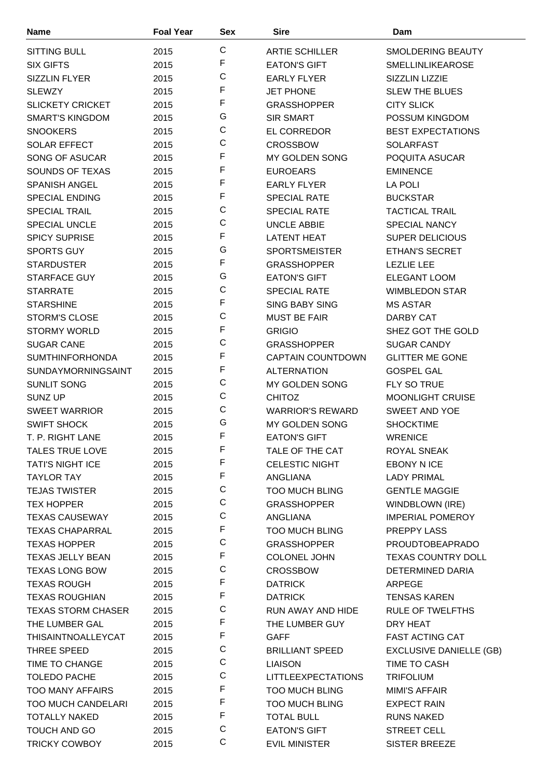| <b>Name</b>                                     | <b>Foal Year</b> | Sex         | <b>Sire</b>                         | Dam                                     |
|-------------------------------------------------|------------------|-------------|-------------------------------------|-----------------------------------------|
| <b>SITTING BULL</b>                             | 2015             | C           | <b>ARTIE SCHILLER</b>               | SMOLDERING BEAUTY                       |
| <b>SIX GIFTS</b>                                | 2015             | F           | <b>EATON'S GIFT</b>                 | <b>SMELLINLIKEAROSE</b>                 |
| <b>SIZZLIN FLYER</b>                            | 2015             | $\mathsf C$ | <b>EARLY FLYER</b>                  | SIZZLIN LIZZIE                          |
| <b>SLEWZY</b>                                   | 2015             | F           | <b>JET PHONE</b>                    | <b>SLEW THE BLUES</b>                   |
| <b>SLICKETY CRICKET</b>                         | 2015             | F           | <b>GRASSHOPPER</b>                  | <b>CITY SLICK</b>                       |
| <b>SMART'S KINGDOM</b>                          | 2015             | G           | <b>SIR SMART</b>                    | POSSUM KINGDOM                          |
| <b>SNOOKERS</b>                                 | 2015             | C           | EL CORREDOR                         | <b>BEST EXPECTATIONS</b>                |
| <b>SOLAR EFFECT</b>                             | 2015             | C           | <b>CROSSBOW</b>                     | <b>SOLARFAST</b>                        |
| SONG OF ASUCAR                                  | 2015             | F           | MY GOLDEN SONG                      | POQUITA ASUCAR                          |
| SOUNDS OF TEXAS                                 | 2015             | F           | <b>EUROEARS</b>                     | <b>EMINENCE</b>                         |
| <b>SPANISH ANGEL</b>                            | 2015             | F           | <b>EARLY FLYER</b>                  | LA POLI                                 |
| <b>SPECIAL ENDING</b>                           | 2015             | F           | <b>SPECIAL RATE</b>                 | <b>BUCKSTAR</b>                         |
| <b>SPECIAL TRAIL</b>                            | 2015             | C           | <b>SPECIAL RATE</b>                 | <b>TACTICAL TRAIL</b>                   |
| <b>SPECIAL UNCLE</b>                            | 2015             | С           | UNCLE ABBIE                         | <b>SPECIAL NANCY</b>                    |
| <b>SPICY SUPRISE</b>                            | 2015             | F           | <b>LATENT HEAT</b>                  | <b>SUPER DELICIOUS</b>                  |
| <b>SPORTS GUY</b>                               | 2015             | G           | <b>SPORTSMEISTER</b>                | ETHAN'S SECRET                          |
| <b>STARDUSTER</b>                               | 2015             | F           | <b>GRASSHOPPER</b>                  | <b>LEZLIE LEE</b>                       |
| STARFACE GUY                                    | 2015             | G           | <b>EATON'S GIFT</b>                 | ELEGANT LOOM                            |
| <b>STARRATE</b>                                 | 2015             | С           | <b>SPECIAL RATE</b>                 | <b>WIMBLEDON STAR</b>                   |
| <b>STARSHINE</b>                                | 2015             | F           | <b>SING BABY SING</b>               | <b>MS ASTAR</b>                         |
| <b>STORM'S CLOSE</b>                            | 2015             | C           | <b>MUST BE FAIR</b>                 | DARBY CAT                               |
| <b>STORMY WORLD</b>                             |                  | F           |                                     |                                         |
| <b>SUGAR CANE</b>                               | 2015             | C           | <b>GRIGIO</b><br><b>GRASSHOPPER</b> | SHEZ GOT THE GOLD<br><b>SUGAR CANDY</b> |
|                                                 | 2015             | F           |                                     |                                         |
| <b>SUMTHINFORHONDA</b>                          | 2015             | F           | <b>CAPTAIN COUNTDOWN</b>            | <b>GLITTER ME GONE</b>                  |
| <b>SUNDAYMORNINGSAINT</b><br><b>SUNLIT SONG</b> | 2015             | C           | <b>ALTERNATION</b>                  | <b>GOSPEL GAL</b>                       |
|                                                 | 2015             | C           | MY GOLDEN SONG                      | FLY SO TRUE                             |
| <b>SUNZ UP</b>                                  | 2015             | C           | <b>CHITOZ</b>                       | <b>MOONLIGHT CRUISE</b>                 |
| <b>SWEET WARRIOR</b>                            | 2015             | G           | <b>WARRIOR'S REWARD</b>             | <b>SWEET AND YOE</b>                    |
| <b>SWIFT SHOCK</b>                              | 2015             | F           | MY GOLDEN SONG                      | <b>SHOCKTIME</b>                        |
| T. P. RIGHT LANE                                | 2015             | F           | <b>EATON'S GIFT</b>                 | <b>WRENICE</b>                          |
| <b>TALES TRUE LOVE</b>                          | 2015             | F           | TALE OF THE CAT                     | ROYAL SNEAK                             |
| <b>TATI'S NIGHT ICE</b>                         | 2015             | F           | <b>CELESTIC NIGHT</b>               | EBONY N ICE                             |
| <b>TAYLOR TAY</b>                               | 2015             | C           | ANGLIANA                            | <b>LADY PRIMAL</b>                      |
| <b>TEJAS TWISTER</b>                            | 2015             | C           | <b>TOO MUCH BLING</b>               | <b>GENTLE MAGGIE</b>                    |
| <b>TEX HOPPER</b>                               | 2015             | C           | <b>GRASSHOPPER</b>                  | WINDBLOWN (IRE)                         |
| <b>TEXAS CAUSEWAY</b>                           | 2015             | F           | ANGLIANA                            | <b>IMPERIAL POMEROY</b>                 |
| <b>TEXAS CHAPARRAL</b>                          | 2015             | $\mathsf C$ | <b>TOO MUCH BLING</b>               | PREPPY LASS                             |
| <b>TEXAS HOPPER</b>                             | 2015             |             | <b>GRASSHOPPER</b>                  | <b>PROUDTOBEAPRADO</b>                  |
| <b>TEXAS JELLY BEAN</b>                         | 2015             | F           | COLONEL JOHN                        | <b>TEXAS COUNTRY DOLL</b>               |
| <b>TEXAS LONG BOW</b>                           | 2015             | C           | <b>CROSSBOW</b>                     | DETERMINED DARIA                        |
| <b>TEXAS ROUGH</b>                              | 2015             | F           | <b>DATRICK</b>                      | ARPEGE                                  |
| <b>TEXAS ROUGHIAN</b>                           | 2015             | F           | <b>DATRICK</b>                      | <b>TENSAS KAREN</b>                     |
| <b>TEXAS STORM CHASER</b>                       | 2015             | C           | RUN AWAY AND HIDE                   | <b>RULE OF TWELFTHS</b>                 |
| THE LUMBER GAL                                  | 2015             | F           | THE LUMBER GUY                      | DRY HEAT                                |
| <b>THISAINTNOALLEYCAT</b>                       | 2015             | F           | <b>GAFF</b>                         | <b>FAST ACTING CAT</b>                  |
| THREE SPEED                                     | 2015             | C           | <b>BRILLIANT SPEED</b>              | <b>EXCLUSIVE DANIELLE (GB)</b>          |
| TIME TO CHANGE                                  | 2015             | C           | <b>LIAISON</b>                      | TIME TO CASH                            |
| <b>TOLEDO PACHE</b>                             | 2015             | C           | <b>LITTLEEXPECTATIONS</b>           | <b>TRIFOLIUM</b>                        |
| <b>TOO MANY AFFAIRS</b>                         | 2015             | F           | <b>TOO MUCH BLING</b>               | <b>MIMI'S AFFAIR</b>                    |
| <b>TOO MUCH CANDELARI</b>                       | 2015             | F           | <b>TOO MUCH BLING</b>               | <b>EXPECT RAIN</b>                      |
| <b>TOTALLY NAKED</b>                            | 2015             | F           | <b>TOTAL BULL</b>                   | <b>RUNS NAKED</b>                       |
| TOUCH AND GO                                    | 2015             | C           | <b>EATON'S GIFT</b>                 | <b>STREET CELL</b>                      |
| <b>TRICKY COWBOY</b>                            | 2015             | C           | <b>EVIL MINISTER</b>                | <b>SISTER BREEZE</b>                    |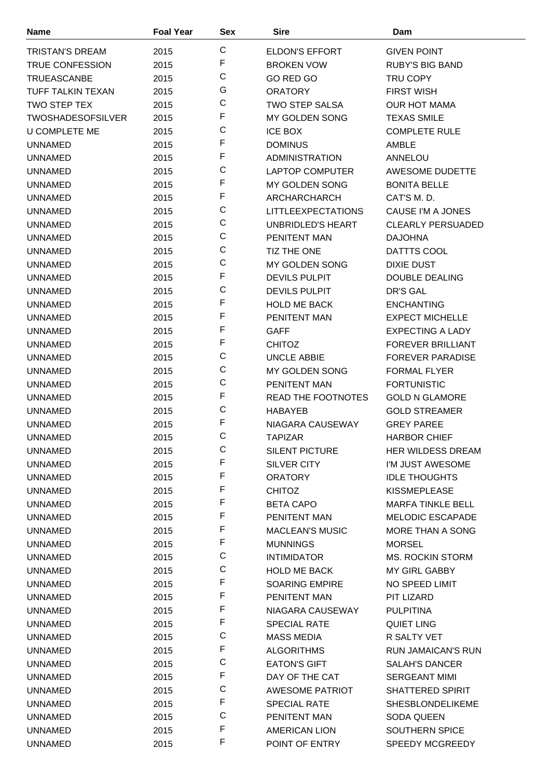| <b>Name</b>                      | <b>Foal Year</b> | Sex         | <b>Sire</b>                                   | Dam                                         |
|----------------------------------|------------------|-------------|-----------------------------------------------|---------------------------------------------|
| <b>TRISTAN'S DREAM</b>           | 2015             | $\mathsf C$ | <b>ELDON'S EFFORT</b>                         | <b>GIVEN POINT</b>                          |
| <b>TRUE CONFESSION</b>           | 2015             | F           | <b>BROKEN VOW</b>                             | <b>RUBY'S BIG BAND</b>                      |
| <b>TRUEASCANBE</b>               | 2015             | $\mathsf C$ | GO RED GO                                     | TRU COPY                                    |
| TUFF TALKIN TEXAN                | 2015             | G           | <b>ORATORY</b>                                | <b>FIRST WISH</b>                           |
| <b>TWO STEP TEX</b>              | 2015             | $\mathsf C$ | <b>TWO STEP SALSA</b>                         | <b>OUR HOT MAMA</b>                         |
| <b>TWOSHADESOFSILVER</b>         | 2015             | F           | MY GOLDEN SONG                                | <b>TEXAS SMILE</b>                          |
| <b>U COMPLETE ME</b>             | 2015             | $\mathsf C$ | <b>ICE BOX</b>                                | <b>COMPLETE RULE</b>                        |
| <b>UNNAMED</b>                   | 2015             | F           | <b>DOMINUS</b>                                | <b>AMBLE</b>                                |
| <b>UNNAMED</b>                   | 2015             | F           | <b>ADMINISTRATION</b>                         | ANNELOU                                     |
| <b>UNNAMED</b>                   | 2015             | $\mathsf C$ | <b>LAPTOP COMPUTER</b>                        | AWESOME DUDETTE                             |
| <b>UNNAMED</b>                   | 2015             | F           | MY GOLDEN SONG                                | <b>BONITA BELLE</b>                         |
| <b>UNNAMED</b>                   | 2015             | F           | ARCHARCHARCH                                  | CAT'S M.D.                                  |
| <b>UNNAMED</b>                   | 2015             | $\mathsf C$ | <b>LITTLEEXPECTATIONS</b>                     | CAUSE I'M A JONES                           |
| <b>UNNAMED</b>                   | 2015             | $\mathsf C$ | UNBRIDLED'S HEART                             | <b>CLEARLY PERSUADED</b>                    |
| <b>UNNAMED</b>                   | 2015             | $\mathsf C$ | PENITENT MAN                                  | <b>DAJOHNA</b>                              |
| <b>UNNAMED</b>                   | 2015             | $\mathsf C$ | TIZ THE ONE                                   | DATTTS COOL                                 |
| <b>UNNAMED</b>                   | 2015             | $\mathsf C$ | MY GOLDEN SONG                                | <b>DIXIE DUST</b>                           |
| <b>UNNAMED</b>                   | 2015             | F           | <b>DEVILS PULPIT</b>                          | <b>DOUBLE DEALING</b>                       |
| <b>UNNAMED</b>                   | 2015             | C           | <b>DEVILS PULPIT</b>                          | <b>DR'S GAL</b>                             |
| <b>UNNAMED</b>                   | 2015             | F           | <b>HOLD ME BACK</b>                           | <b>ENCHANTING</b>                           |
| <b>UNNAMED</b>                   | 2015             | F           | PENITENT MAN                                  | <b>EXPECT MICHELLE</b>                      |
| <b>UNNAMED</b>                   |                  | F           | <b>GAFF</b>                                   | <b>EXPECTING A LADY</b>                     |
| <b>UNNAMED</b>                   | 2015             | F           | <b>CHITOZ</b>                                 | <b>FOREVER BRILLIANT</b>                    |
| <b>UNNAMED</b>                   | 2015             | $\mathsf C$ | <b>UNCLE ABBIE</b>                            | <b>FOREVER PARADISE</b>                     |
| <b>UNNAMED</b>                   | 2015             | $\mathsf C$ | <b>MY GOLDEN SONG</b>                         | <b>FORMAL FLYER</b>                         |
| <b>UNNAMED</b>                   | 2015<br>2015     | $\mathsf C$ | PENITENT MAN                                  | <b>FORTUNISTIC</b>                          |
| <b>UNNAMED</b>                   |                  | F           | <b>READ THE FOOTNOTES</b>                     | <b>GOLD N GLAMORE</b>                       |
| <b>UNNAMED</b>                   | 2015             | $\mathsf C$ | <b>HABAYEB</b>                                | <b>GOLD STREAMER</b>                        |
|                                  | 2015             | F           |                                               |                                             |
| <b>UNNAMED</b><br><b>UNNAMED</b> | 2015<br>2015     | $\mathsf C$ | NIAGARA CAUSEWAY<br><b>TAPIZAR</b>            | <b>GREY PAREE</b><br><b>HARBOR CHIEF</b>    |
|                                  |                  | С           |                                               | <b>HER WILDESS DREAM</b>                    |
| <b>UNNAMED</b>                   | 2015             | F           | <b>SILENT PICTURE</b>                         | I'M JUST AWESOME                            |
| <b>UNNAMED</b><br><b>UNNAMED</b> | 2015<br>2015     | F           | SILVER CITY<br><b>ORATORY</b>                 | <b>IDLE THOUGHTS</b>                        |
| <b>UNNAMED</b>                   | 2015             | F           | <b>CHITOZ</b>                                 | <b>KISSMEPLEASE</b>                         |
| UNNAMED                          |                  | F           | <b>BETA CAPO</b>                              | <b>MARFA TINKLE BELL</b>                    |
| <b>UNNAMED</b>                   | 2015<br>2015     | F           | PENITENT MAN                                  | <b>MELODIC ESCAPADE</b>                     |
|                                  |                  | F           | <b>MACLEAN'S MUSIC</b>                        | MORE THAN A SONG                            |
| <b>UNNAMED</b>                   | 2015             | F           |                                               | <b>MORSEL</b>                               |
| <b>UNNAMED</b>                   | 2015             | $\mathsf C$ | <b>MUNNINGS</b><br><b>INTIMIDATOR</b>         | <b>MS. ROCKIN STORM</b>                     |
| <b>UNNAMED</b><br>UNNAMED        | 2015             | $\mathsf C$ | <b>HOLD ME BACK</b>                           | MY GIRL GABBY                               |
| <b>UNNAMED</b>                   | 2015<br>2015     | F           | <b>SOARING EMPIRE</b>                         | NO SPEED LIMIT                              |
|                                  |                  | F           |                                               |                                             |
| <b>UNNAMED</b><br><b>UNNAMED</b> | 2015<br>2015     | F           | PENITENT MAN<br>NIAGARA CAUSEWAY              | PIT LIZARD<br><b>PULPITINA</b>              |
|                                  |                  | F           | <b>SPECIAL RATE</b>                           | <b>QUIET LING</b>                           |
| <b>UNNAMED</b>                   | 2015             | $\mathsf C$ |                                               | R SALTY VET                                 |
| <b>UNNAMED</b>                   | 2015             | F           | <b>MASS MEDIA</b><br><b>ALGORITHMS</b>        | <b>RUN JAMAICAN'S RUN</b>                   |
| <b>UNNAMED</b>                   | 2015             | $\mathsf C$ |                                               |                                             |
| <b>UNNAMED</b>                   | 2015             | F           | <b>EATON'S GIFT</b>                           | <b>SALAH'S DANCER</b>                       |
| <b>UNNAMED</b>                   | 2015             | $\mathsf C$ | DAY OF THE CAT                                | <b>SERGEANT MIMI</b>                        |
| <b>UNNAMED</b>                   | 2015             | F           | <b>AWESOME PATRIOT</b><br><b>SPECIAL RATE</b> | SHATTERED SPIRIT<br><b>SHESBLONDELIKEME</b> |
| <b>UNNAMED</b>                   | 2015             | $\mathsf C$ | <b>PENITENT MAN</b>                           |                                             |
| <b>UNNAMED</b><br><b>UNNAMED</b> | 2015<br>2015     | F           | <b>AMERICAN LION</b>                          | SODA QUEEN<br><b>SOUTHERN SPICE</b>         |
| <b>UNNAMED</b>                   | 2015             | F           | POINT OF ENTRY                                | SPEEDY MCGREEDY                             |
|                                  |                  |             |                                               |                                             |